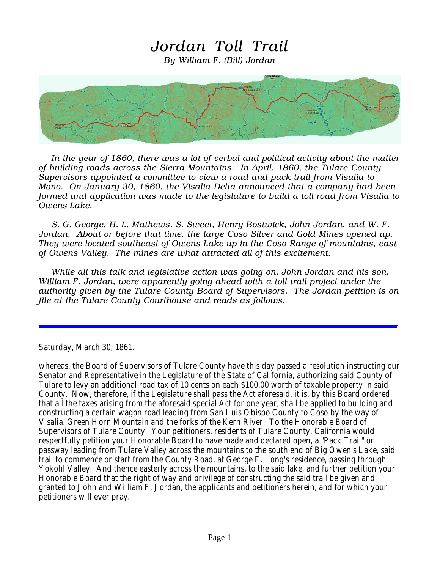## Jordan Toll Trail

By William F. (Bill) Jordan



In the year of 1860, there was a lot of verbal and political activity about the matter of building roads across the Sierra Mountains. In April, 1860, the Tulare County Supervisors appointed a committee to view a road and pack trail from Visalia to Mono. On January 30, 1860, the Visalia Delta announced that a company had been formed and application was made to the legislature to build a toll road from Visalia to Owens Lake.

S. G. George, H. L. Mathews. S. Sweet, Henry Bostwick, John Jordan, and W. F. Jordan. About or before that time, the large Coso Silver and Gold Mines opened up. They were located southeast of Owens Lake up in the Coso Range of mountains, east of Owens Valley. The mines are what attracted all of this excitement.

While all this talk and legislative action was going on, John Jordan and his son, William F. Jordan, were apparently going ahead with a toll trail project under the authority given by the Tulare County Board of Supervisors. The Jordan petition is on file at the Tulare County Courthouse and reads as follows:

Saturday, March 30, 1861.

whereas, the Board of Supervisors of Tulare County have this day passed a resolution instructing our Senator and Representative in the Legislature of the State of California, authorizing said County of Tulare to levy an additional road tax of 10 cents on each \$100.00 worth of taxable property in said County. Now, therefore, if the Legislature shall pass the Act aforesaid, it is, by this Board ordered that all the taxes arising from the aforesaid special Act for one year, shall be applied to building and constructing a certain wagon road leading from San Luis Obispo County to Coso by the way of Visalia. Green Horn Mountain and the forks of the Kern River. To the Honorable Board of Supervisors of Tulare County. Your petitioners, residents of Tulare County, California would respectfully petition your Honorable Board to have made and declared open, a "Pack Trail" or passway leading from Tulare Valley across the mountains to the south end of Big Owen's Lake, said trail to commence or start from the County Road. at George E. Long's residence, passing through Yokohl Valley. And thence easterly across the mountains, to the said lake, and further petition your Honorable Board that the right of way and privilege of constructing the said trail be given and granted to John and William F. Jordan, the applicants and petitioners herein, and for which your petitioners will ever pray.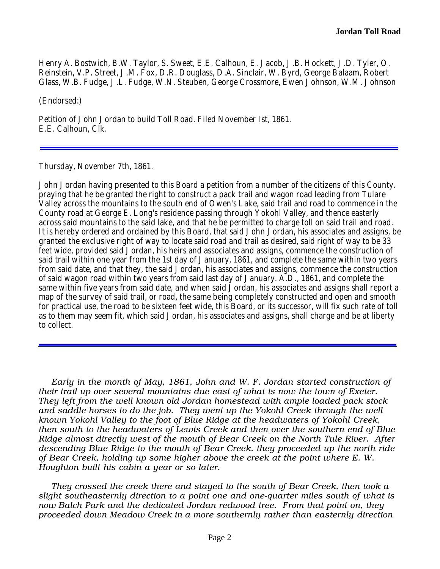Henry A. Bostwich, B.W. Taylor, S. Sweet, E.E. Calhoun, E. Jacob, J.B. Hockett, J.D. Tyler, O. Reinstein, V.P. Street, J.M. Fox, D.R. Douglass, D.A. Sinclair, W. Byrd, George Balaam, Robert Glass, W.B. Fudge, J.L. Fudge, W.N. Steuben, George Crossmore, Ewen Johnson, W.M. Johnson

(Endorsed:)

Petition of John Jordan to build Toll Road. Filed November Ist, 1861. E.E. Calhoun, Clk.

Thursday, November 7th, 1861.

John Jordan having presented to this Board a petition from a number of the citizens of this County. praying that he be granted the right to construct a pack trail and wagon road leading from Tulare Valley across the mountains to the south end of Owen's Lake, said trail and road to commence in the County road at George E. Long's residence passing through Yokohl Valley, and thence easterly across said mountains to the said lake, and that he be permitted to charge toll on said trail and road. It is hereby ordered and ordained by this Board, that said John Jordan, his associates and assigns, be granted the exclusive right of way to locate said road and trail as desired, said right of way to be 33 feet wide, provided said Jordan, his heirs and associates and assigns, commence the construction of said trail within one year from the 1st day of January, 1861, and complete the same within two years from said date, and that they, the said Jordan, his associates and assigns, commence the construction of said wagon road within two years from said last day of January. A.D., 1861, and complete the same within five years from said date, and when said Jordan, his associates and assigns shall report a map of the survey of said trail, or road, the same being completely constructed and open and smooth for practical use, the road to be sixteen feet wide, this Board, or its successor, will fix such rate of toll as to them may seem fit, which said Jordan, his associates and assigns, shall charge and be at liberty to collect.

Early in the month of May, 1861, John and W. F. Jordan started construction of their trail up over several mountains due east of what is now the town of Exeter. They left from the well known old Jordan homestead with ample loaded pack stock and saddle horses to do the job. They went up the Yokohl Creek through the well known Yokohl Valley to the foot of Blue Ridge at the headwaters of Yokohl Creek, then south to the headwaters of Lewis Creek and then over the southern end of Blue Ridge almost directly west of the mouth of Bear Creek on the North Tule River. After descending Blue Ridge to the mouth of Bear Creek. they proceeded up the north ride of Bear Creek, holding up some higher above the creek at the point where E. W. Houghton built his cabin a year or so later.

They crossed the creek there and stayed to the south of Bear Creek, then took a slight southeasternly direction to a point one and one-quarter miles south of what is now Balch Park and the dedicated Jordan redwood tree. From that point on, they proceeded down Meadow Creek in a more southernly rather than easternly direction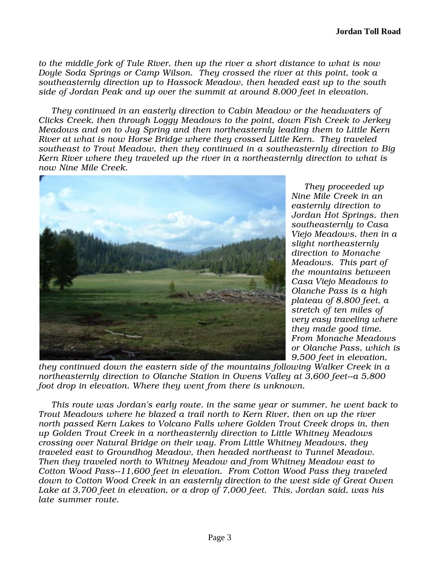to the middle fork of Tule River, then up the river a short distance to what is now Doyle Soda Springs or Camp Wilson. They crossed the river at this point, took a southeasternly direction up to Hassock Meadow, then headed east up to the south side of Jordan Peak and up over the summit at around 8.000 feet in elevation.

They continued in an easterly direction to Cabin Meadow or the headwaters of Clicks Creek, then through Loggy Meadows to the point, down Fish Creek to Jerkey Meadows and on to Jug Spring and then northeasternly leading them to Little Kern River at what is now Horse Bridge where they crossed Little Kern. They traveled southeast to Trout Meadow, then they continued in a southeasternly direction to Big Kern River where they traveled up the river in a northeasternly direction to what is now Nine Mile Creek.



They proceeded up Nine Mile Creek in an easternly direction to Jordan Hot Springs, then southeasternly to Casa Viejo Meadows, then in a slight northeasternly direction to Monache Meadows. This part of the mountains between Casa Viejo Meadows to Olanche Pass is a high plateau of 8,800 feet, a stretch of ten miles of very easy traveling where they made good time. From Monache Meadows or Olanche Pass, which is 9,500 feet in elevation,

they continued down the eastern side of the mountains following Walker Creek in a northeasternly direction to Olanche Station in Owens Valley at 3,600 feet--a 5,800 foot drop in elevation. Where they went from there is unknown.

This route was Jordan's early route. in the same year or summer, he went back to Trout Meadows where he blazed a trail north to Kern River, then on up the river north passed Kern Lakes to Volcano Falls where Golden Trout Creek drops in, then up Golden Trout Creek in a northeasternly direction to Little Whitney Meadows crossing over Natural Bridge on their way. From Little Whitney Meadows, they traveled east to Groundhog Meadow, then headed northeast to Tunnel Meadow. Then they traveled north to Whitney Meadow and from Whitney Meadow east to Cotton Wood Pass--11,600 feet in elevation. From Cotton Wood Pass they traveled down to Cotton Wood Creek in an easternly direction to the west side of Great Owen Lake at 3,700 feet in elevation, or a drop of 7,000 feet. This, Jordan said, was his late summer route.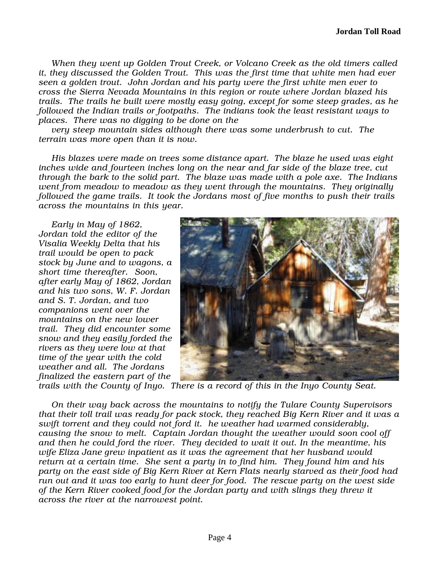When they went up Golden Trout Creek, or Volcano Creek as the old timers called it, they discussed the Golden Trout. This was the first time that white men had ever seen a golden trout. John Jordan and his party were the first white men ever to cross the Sierra Nevada Mountains in this region or route where Jordan blazed his trails. The trails he built were mostly easy going, except for some steep grades, as he followed the Indian trails or footpaths. The indians took the least resistant ways to places. There was no digging to be done on the

very steep mountain sides although there was some underbrush to cut. The terrain was more open than it is now.

His blazes were made on trees some distance apart. The blaze he used was eight inches wide and fourteen inches long on the near and far side of the blaze tree, cut through the bark to the solid part. The blaze was made with a pole axe. The Indians went from meadow to meadow as they went through the mountains. They originally followed the game trails. It took the Jordans most of five months to push their trails across the mountains in this year.

Early in May of 1862, Jordan told the editor of the Visalia Weekly Delta that his trail would be open to pack stock by June and to wagons, a short time thereafter. Soon, after early May of 1862, Jordan and his two sons, W. F. Jordan and S. T. Jordan, and two companions went over the mountains on the new lower trail. They did encounter some snow and they easily forded the rivers as they were low at that time of the year with the cold weather and all. The Jordans finalized the eastern part of the



trails with the County of Inyo. There is a record of this in the Inyo County Seat.

On their way back across the mountains to notify the Tulare County Supervisors that their toll trail was ready for pack stock, they reached Big Kern River and it was a swift torrent and they could not ford it. he weather had warmed considerably, causing the snow to melt. Captain Jordan thought the weather would soon cool off and then he could ford the river. They decided to wait it out. In the meantime, his wife Eliza Jane grew inpatient as it was the agreement that her husband would return at a certain time. She sent a party in to find him. They found him and his party on the east side of Big Kern River at Kern Flats nearly starved as their food had run out and it was too early to hunt deer for food. The rescue party on the west side of the Kern River cooked food for the Jordan party and with slings they threw it across the river at the narrowest point.